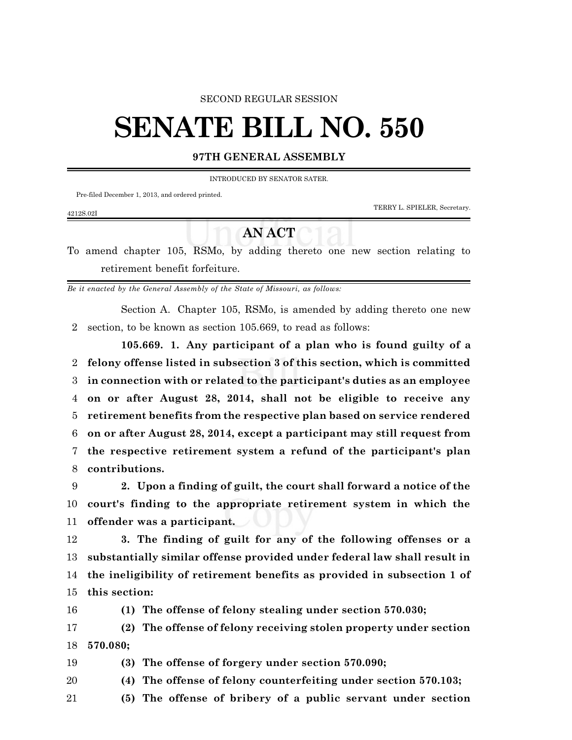### SECOND REGULAR SESSION

# **SENATE BILL NO. 550**

## **97TH GENERAL ASSEMBLY**

INTRODUCED BY SENATOR SATER.

Pre-filed December 1, 2013, and ordered printed.

4212S.02I

TERRY L. SPIELER, Secretary.

# **AN ACT**

To amend chapter 105, RSMo, by adding thereto one new section relating to retirement benefit forfeiture.

*Be it enacted by the General Assembly of the State of Missouri, as follows:*

Section A. Chapter 105, RSMo, is amended by adding thereto one new section, to be known as section 105.669, to read as follows:

**105.669. 1. Any participant of a plan who is found guilty of a felony offense listed in subsection 3 of this section, which is committed in connection with or related to the participant's duties as an employee on or after August 28, 2014, shall not be eligible to receive any retirement benefits from the respective plan based on service rendered on or after August 28, 2014, except a participant may still request from the respective retirement system a refund of the participant's plan contributions.**

 **2. Upon a finding of guilt, the court shall forward a notice of the court's finding to the appropriate retirement system in which the offender was a participant.**

 **3. The finding of guilt for any of the following offenses or a substantially similar offense provided under federal law shall result in the ineligibility of retirement benefits as provided in subsection 1 of this section:**

**(1) The offense of felony stealing under section 570.030;**

 **(2) The offense of felony receiving stolen property under section 570.080;**

**(3) The offense of forgery under section 570.090;**

- **(4) The offense of felony counterfeiting under section 570.103;**
- **(5) The offense of bribery of a public servant under section**